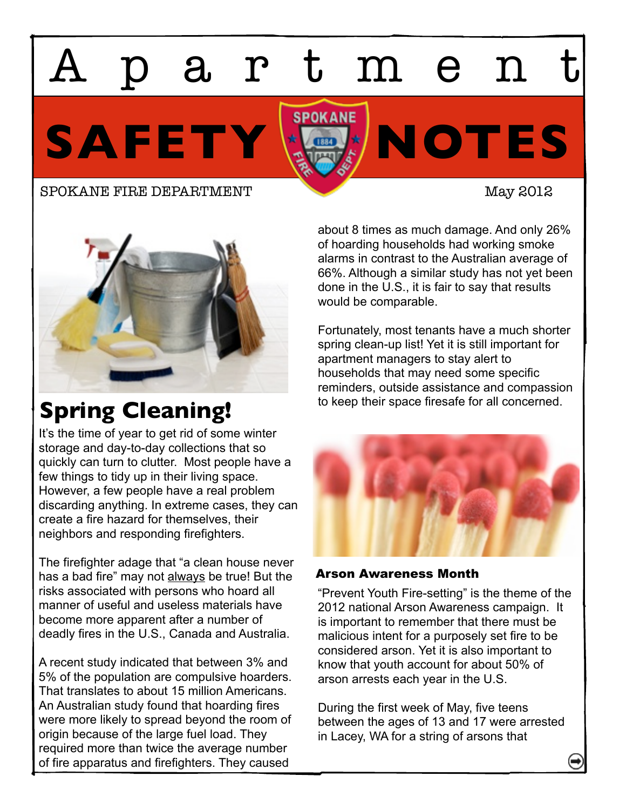# artmen

SAFETY **X** 

#### SPOKANE FIRE DEPARTMENT May 2012



## **Spring Cleaning!**

It's the time of year to get rid of some winter storage and day-to-day collections that so quickly can turn to clutter. Most people have a few things to tidy up in their living space. However, a few people have a real problem discarding anything. In extreme cases, they can create a fire hazard for themselves, their neighbors and responding firefighters.

The firefighter adage that "a clean house never has a bad fire" may not always be true! But the risks associated with persons who hoard all manner of useful and useless materials have become more apparent after a number of deadly fires in the U.S., Canada and Australia.

A recent study indicated that between 3% and 5% of the population are compulsive hoarders. That translates to about 15 million Americans. An Australian study found that hoarding fires were more likely to spread beyond the room of origin because of the large fuel load. They required more than twice the average number of fire apparatus and firefighters. They caused

about 8 times as much damage. And only 26% of hoarding households had working smoke alarms in contrast to the Australian average of 66%. Although a similar study has not yet been done in the U.S., it is fair to say that results would be comparable.

Fortunately, most tenants have a much shorter spring clean-up list! Yet it is still important for apartment managers to stay alert to households that may need some specific reminders, outside assistance and compassion to keep their space firesafe for all concerned.



### Arson Awareness Month

"Prevent Youth Fire-setting" is the theme of the 2012 national Arson Awareness campaign. It is important to remember that there must be malicious intent for a purposely set fire to be considered arson. Yet it is also important to know that youth account for about 50% of arson arrests each year in the U.S.

During the first week of May, five teens between the ages of 13 and 17 were arrested in Lacey, WA for a string of arsons that